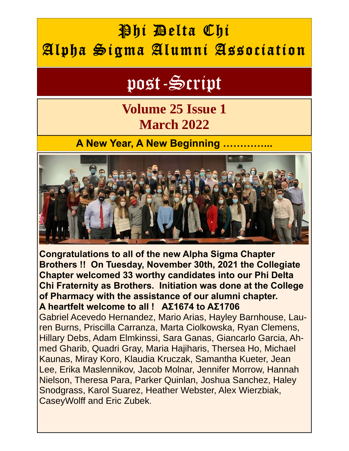## Phi Delta Chi Alpha Sigma Alumni Association

# post-Script

## **Volume 25 Issue 1 March 2022**

#### **A New Year, A New Beginning ...**



**Congratulations to all of the new Alpha Sigma Chapter Brothers !! On Tuesday, November 30th, 2021 the Collegiate Chapter welcomed 33 worthy candidates into our Phi Delta Chi Fraternity as Brothers. Initiation was done at the College of Pharmacy with the assistance of our alumni chapter. A heartfelt welcome to all ! ΑΣ1674 to ΑΣ1706** 

Gabriel Acevedo Hernandez, Mario Arias, Hayley Barnhouse, Lauren Burns, Priscilla Carranza, Marta Ciolkowska, Ryan Clemens, Hillary Debs, Adam Elmkinssi, Sara Ganas, Giancarlo Garcia, Ahmed Gharib, Quadri Gray, Maria Hajiharis, Thersea Ho, Michael Kaunas, Miray Koro, Klaudia Kruczak, Samantha Kueter, Jean Lee, Erika Maslennikov, Jacob Molnar, Jennifer Morrow, Hannah Nielson, Theresa Para, Parker Quinlan, Joshua Sanchez, Haley Snodgrass, Karol Suarez, Heather Webster, Alex Wierzbiak, CaseyWolff and Eric Zubek.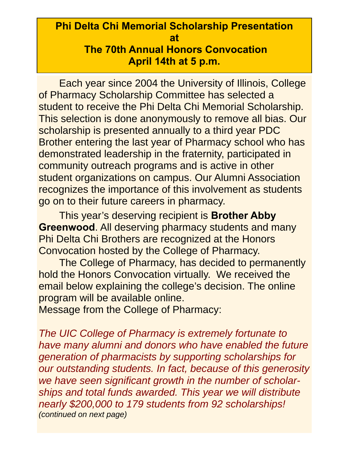#### **Phi Delta Chi Memorial Scholarship Presentation at The 70th Annual Honors Convocation April 14th at 5 p.m.**

Each year since 2004 the University of Illinois, College of Pharmacy Scholarship Committee has selected a student to receive the Phi Delta Chi Memorial Scholarship. This selection is done anonymously to remove all bias. Our scholarship is presented annually to a third year PDC Brother entering the last year of Pharmacy school who has demonstrated leadership in the fraternity, participated in community outreach programs and is active in other student organizations on campus. Our Alumni Association recognizes the importance of this involvement as students go on to their future careers in pharmacy.

This year's deserving recipient is **Brother Abby Greenwood**. All deserving pharmacy students and many Phi Delta Chi Brothers are recognized at the Honors Convocation hosted by the College of Pharmacy.

The College of Pharmacy, has decided to permanently hold the Honors Convocation virtually. We received the email below explaining the college's decision. The online program will be available online.

Message from the College of Pharmacy:

*The UIC College of Pharmacy is extremely fortunate to have many alumni and donors who have enabled the future generation of pharmacists by supporting scholarships for our outstanding students. In fact, because of this generosity we have seen significant growth in the number of scholarships and total funds awarded. This year we will distribute nearly \$200,000 to 179 students from 92 scholarships! (continued on next page)*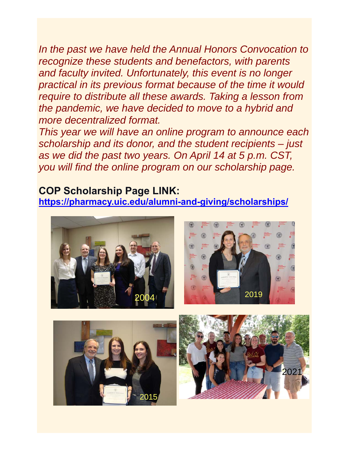*In the past we have held the Annual Honors Convocation to recognize these students and benefactors, with parents and faculty invited. Unfortunately, this event is no longer practical in its previous format because of the time it would require to distribute all these awards. Taking a lesson from the pandemic, we have decided to move to a hybrid and more decentralized format.* 

*This year we will have an online program to announce each scholarship and its donor, and the student recipients – just as we did the past two years. On April 14 at 5 p.m. CST, you will find the online program on our scholarship page.* 

#### **COP Scholarship Page LINK: <https://pharmacy.uic.edu/alumni-and-giving/scholarships/>**





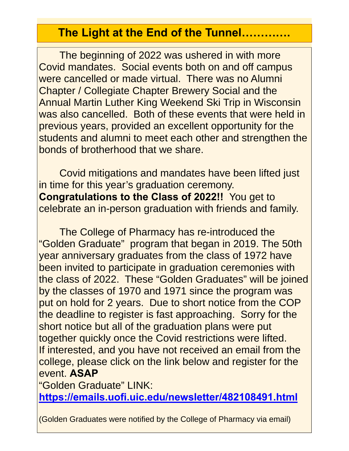#### **The Light at the End of the Tunnel………….**

The beginning of 2022 was ushered in with more Covid mandates. Social events both on and off campus were cancelled or made virtual. There was no Alumni Chapter / Collegiate Chapter Brewery Social and the Annual Martin Luther King Weekend Ski Trip in Wisconsin was also cancelled. Both of these events that were held in previous years, provided an excellent opportunity for the students and alumni to meet each other and strengthen the bonds of brotherhood that we share.

 Covid mitigations and mandates have been lifted just in time for this year's graduation ceremony. **Congratulations to the Class of 2022!!** You get to celebrate an in-person graduation with friends and family.

 The College of Pharmacy has re-introduced the "Golden Graduate" program that began in 2019. The 50th year anniversary graduates from the class of 1972 have been invited to participate in graduation ceremonies with the class of 2022. These "Golden Graduates" will be joined by the classes of 1970 and 1971 since the program was put on hold for 2 years. Due to short notice from the COP the deadline to register is fast approaching. Sorry for the short notice but all of the graduation plans were put together quickly once the Covid restrictions were lifted. If interested, and you have not received an email from the college, please click on the link below and register for the event. **ASAP**

"Golden Graduate" LINK:

**<https://emails.uofi.uic.edu/newsletter/482108491.html>**

(Golden Graduates were notified by the College of Pharmacy via email)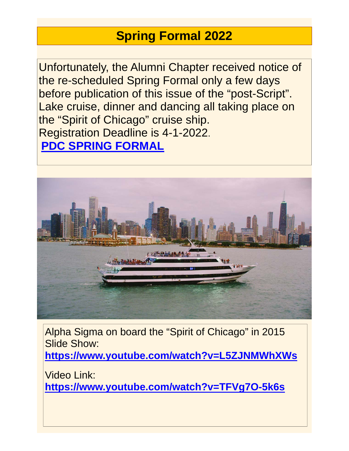## **Spring Formal 2022**

Unfortunately, the Alumni Chapter received notice of the re-scheduled Spring Formal only a few days before publication of this issue of the "post-Script". Lake cruise, dinner and dancing all taking place on the "Spirit of Chicago" cruise ship. Registration Deadline is 4-1-2022. **[PDC SPRING FORMAL](https://docs.google.com/forms/d/e/1FAIpQLSdbSU_vLj0V5OCFGQvTpwrBBTBwBm7AAMe-oD09sDNIOV1EfQ/viewform)**



Alpha Sigma on board the "Spirit of Chicago" in 2015 Slide Show: **<https://www.youtube.com/watch?v=L5ZJNMWhXWs>**

Video Link: **<https://www.youtube.com/watch?v=TFVg7O-5k6s>**